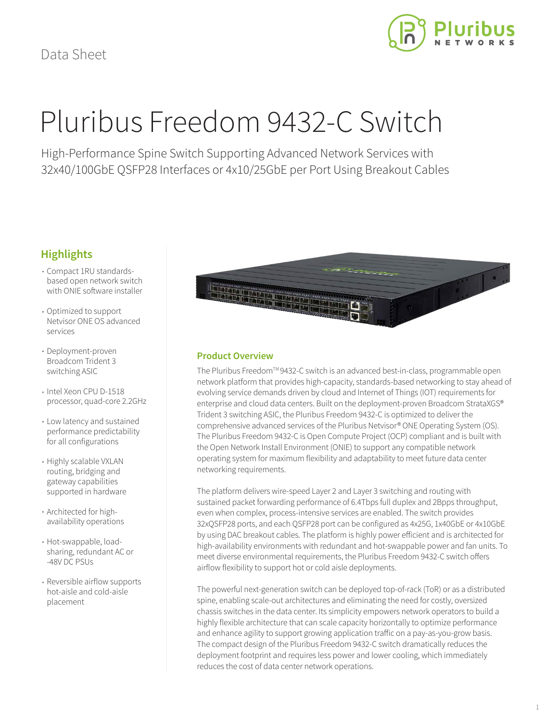

# Pluribus Freedom 9432-C Switch

High-Performance Spine Switch Supporting Advanced Network Services with 32x40/100GbE QSFP28 Interfaces or 4x10/25GbE per Port Using Breakout Cables

## **Highlights**

- Compact 1RU standardsbased open network switch with ONIE software installer
- Optimized to support Netvisor ONE OS advanced services
- Deployment-proven Broadcom Trident 3 switching ASIC
- Intel Xeon CPU D-1518 processor, quad-core 2.2GHz
- Low latency and sustained performance predictability for all configurations
- Highly scalable VXLAN routing, bridging and gateway capabilities supported in hardware
- Architected for highavailability operations
- Hot-swappable, loadsharing, redundant AC or -48V DC PSUs
- Reversible airflow supports hot-aisle and cold-aisle placement



## **Product Overview**

The Pluribus Freedom™9432-C switch is an advanced best-in-class, programmable open network platform that provides high-capacity, standards-based networking to stay ahead of evolving service demands driven by cloud and Internet of Things (IOT) requirements for enterprise and cloud data centers. Built on the deployment-proven Broadcom StrataXGS® Trident 3 switching ASIC, the Pluribus Freedom 9432-C is optimized to deliver the comprehensive advanced services of the Pluribus Netvisor® ONE Operating System (OS). The Pluribus Freedom 9432-C is Open Compute Project (OCP) compliant and is built with the Open Network Install Environment (ONIE) to support any compatible network operating system for maximum flexibility and adaptability to meet future data center networking requirements.

The platform delivers wire-speed Layer 2 and Layer 3 switching and routing with sustained packet forwarding performance of 6.4Tbps full duplex and 2Bpps throughput, even when complex, process-intensive services are enabled. The switch provides 32xQSFP28 ports, and each QSFP28 port can be configured as 4x25G, 1x40GbE or 4x10GbE by using DAC breakout cables. The platform is highly power efficient and is architected for high-availability environments with redundant and hot-swappable power and fan units. To meet diverse environmental requirements, the Pluribus Freedom 9432-C switch offers airflow flexibility to support hot or cold aisle deployments.

The powerful next-generation switch can be deployed top-of-rack (ToR) or as a distributed spine, enabling scale-out architectures and eliminating the need for costly, oversized chassis switches in the data center. Its simplicity empowers network operators to build a highly flexible architecture that can scale capacity horizontally to optimize performance and enhance agility to support growing application traffic on a pay-as-you-grow basis. The compact design of the Pluribus Freedom 9432-C switch dramatically reduces the deployment footprint and requires less power and lower cooling, which immediately reduces the cost of data center network operations.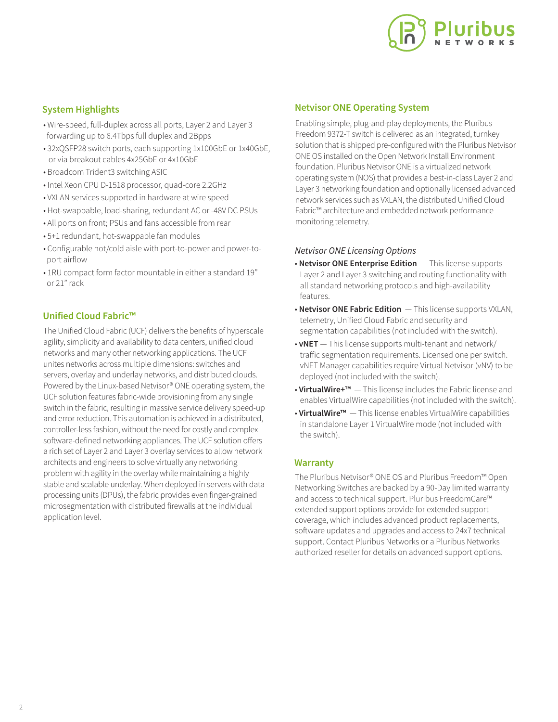

## **System Highlights**

- Wire-speed, full-duplex across all ports, Layer 2 and Layer 3 forwarding up to 6.4Tbps full duplex and 2Bpps
- 32xQSFP28 switch ports, each supporting 1x100GbE or 1x40GbE, or via breakout cables 4x25GbE or 4x10GbE
- Broadcom Trident3 switching ASIC
- Intel Xeon CPU D-1518 processor, quad-core 2.2GHz
- VXLAN services supported in hardware at wire speed
- Hot-swappable, load-sharing, redundant AC or -48V DC PSUs
- All ports on front; PSUs and fans accessible from rear
- 5+1 redundant, hot-swappable fan modules
- Configurable hot/cold aisle with port-to-power and power-to port airflow
- 1RU compact form factor mountable in either a standard 19" or 21" rack

## **Unified Cloud Fabric™**

The Unified Cloud Fabric (UCF) delivers the benefits of hyperscale agility, simplicity and availability to data centers, unified cloud networks and many other networking applications. The UCF unites networks across multiple dimensions: switches and servers, overlay and underlay networks, and distributed clouds. Powered by the Linux-based Netvisor® ONE operating system, the UCF solution features fabric-wide provisioning from any single switch in the fabric, resulting in massive service delivery speed-up and error reduction. This automation is achieved in a distributed, controller-less fashion, without the need for costly and complex software-defined networking appliances. The UCF solution offers a rich set of Layer 2 and Layer 3 overlay services to allow network architects and engineers to solve virtually any networking problem with agility in the overlay while maintaining a highly stable and scalable underlay. When deployed in servers with data processing units (DPUs), the fabric provides even finger-grained microsegmentation with distributed firewalls at the individual application level.

## **Netvisor ONE Operating System**

Enabling simple, plug-and-play deployments, the Pluribus Freedom 9372-T switch is delivered as an integrated, turnkey solution that is shipped pre-configured with the Pluribus Netvisor ONE OS installed on the Open Network Install Environment foundation. Pluribus Netvisor ONE is a virtualized network operating system (NOS) that provides a best-in-class Layer 2 and Layer 3 networking foundation and optionally licensed advanced network services such as VXLAN, the distributed Unified Cloud Fabric™ architecture and embedded network performance monitoring telemetry.

### *Netvisor ONE Licensing Options*

- **Netvisor ONE Enterprise Edition**  This license supports Layer 2 and Layer 3 switching and routing functionality with all standard networking protocols and high-availability features.
- **Netvisor ONE Fabric Edition**  This license supports VXLAN, telemetry, Unified Cloud Fabric and security and segmentation capabilities (not included with the switch).
- **vNET**  This license supports multi-tenant and network/ traffic segmentation requirements. Licensed one per switch. vNET Manager capabilities require Virtual Netvisor (vNV) to be deployed (not included with the switch).
- **VirtualWire+™**  This license includes the Fabric license and enables VirtualWire capabilities (not included with the switch).
- **VirtualWire™**  This license enables VirtualWire capabilities in standalone Layer 1 VirtualWire mode (not included with the switch).

## **Warranty**

The Pluribus Netvisor® ONE OS and Pluribus Freedom™ Open Networking Switches are backed by a 90-Day limited warranty and access to technical support. Pluribus FreedomCare™ extended support options provide for extended support coverage, which includes advanced product replacements, software updates and upgrades and access to 24x7 technical support. Contact Pluribus Networks or a Pluribus Networks authorized reseller for details on advanced support options.